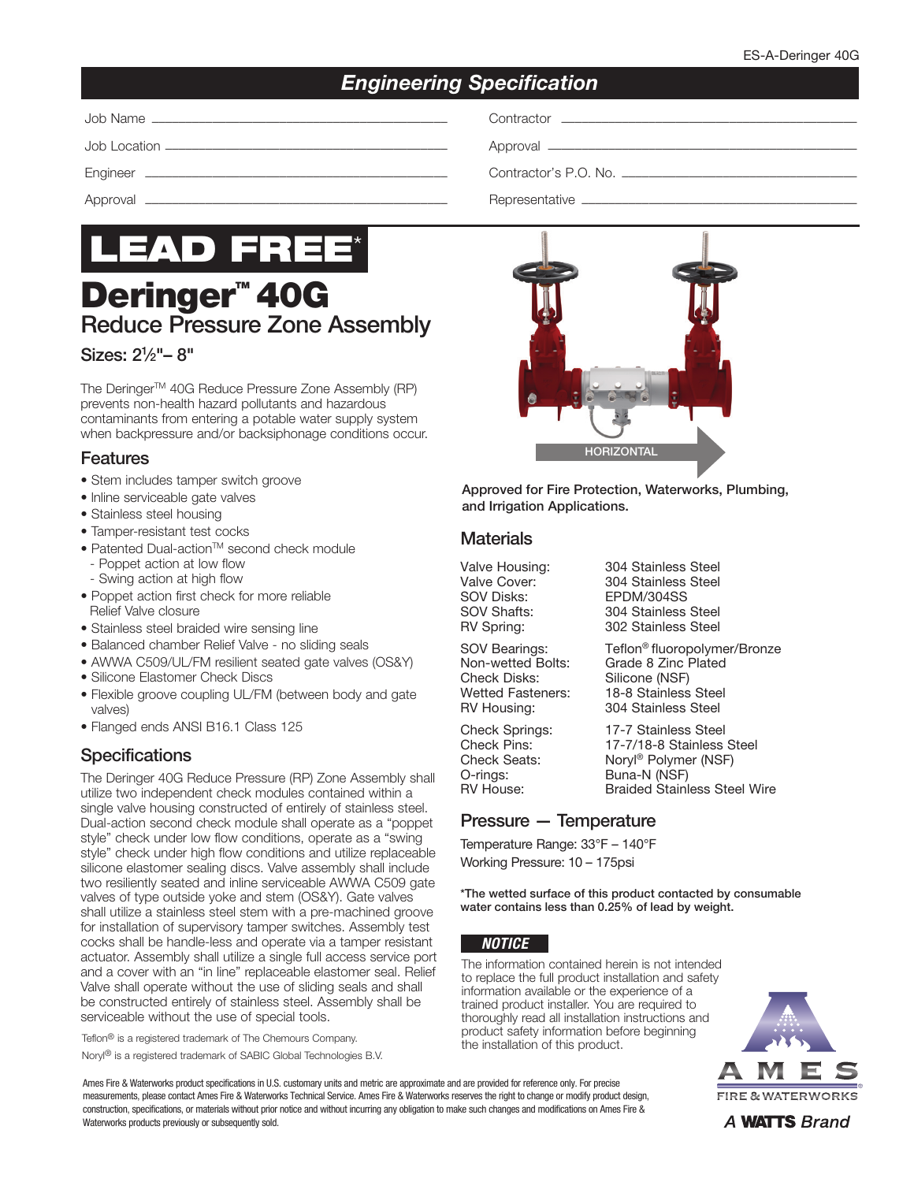# *Engineering Specification*

Job Name –––––––––––––––––––––––––––––––––––––––––––– Contractor ––––––––––––––––––––––––––––––––––––––––––––

Job Location –––––––––––––––––––––––––––––––––––––––––– Approval ––––––––––––––––––––––––––––––––––––––––––––––

Engineer ––––––––––––––––––––––––––––––––––––––––––––– Contractor's P.O. No. –––––––––––––––––––––––––––––––––––

Approval ––––––––––––––––––––––––––––––––––––––––––––– Representative –––––––––––––––––––––––––––––––––––––––––



# **Deringer<sup>™</sup> 40G** Reduce Pressure Zone Assembly

### Sizes: 21 ⁄2"– 8"

The Deringer™ 40G Reduce Pressure Zone Assembly (RP) prevents non-health hazard pollutants and hazardous contaminants from entering a potable water supply system when backpressure and/or backsiphonage conditions occur.

#### **Features**

- Stem includes tamper switch groove
- lnline serviceable gate valves
- Stainless steel housing
- Tamper-resistant test cocks
- Patented Dual-action™ second check module - Poppet action at low flow
	- Swing action at high flow
- Poppet action first check for more reliable Relief Valve closure
- Stainless steel braided wire sensing line
- Balanced chamber Relief Valve no sliding seals
- AWWA C509/UL/FM resilient seated gate valves (OS&Y)
- Silicone Elastomer Check Discs
- Flexible groove coupling UL/FM (between body and gate valves)
- Flanged ends ANSI B16.1 Class 125

# **Specifications**

The Deringer 40G Reduce Pressure (RP) Zone Assembly shall utilize two independent check modules contained within a single valve housing constructed of entirely of stainless steel. Dual-action second check module shall operate as a "poppet style" check under low flow conditions, operate as a "swing style" check under high flow conditions and utilize replaceable silicone elastomer sealing discs. Valve assembly shall include two resiliently seated and inline serviceable AWWA C509 gate valves of type outside yoke and stem (OS&Y). Gate valves shall utilize a stainless steel stem with a pre-machined groove for installation of supervisory tamper switches. Assembly test cocks shall be handle-less and operate via a tamper resistant actuator. Assembly shall utilize a single full access service port and a cover with an "in line" replaceable elastomer seal. Relief Valve shall operate without the use of sliding seals and shall be constructed entirely of stainless steel. Assembly shall be serviceable without the use of special tools.

Teflon® is a registered trademark of The Chemours Company.

Noryl® is a registered trademark of SABIC Global Technologies B.V.

Ames Fire & Waterworks product specifications in U.S. customary units and metric are approximate and are provided for reference only. For precise measurements, please contact Ames Fire & Waterworks Technical Service. Ames Fire & Waterworks reserves the right to change or modify product design, construction, specifications, or materials without prior notice and without incurring any obligation to make such changes and modifications on Ames Fire & Waterworks products previously or subsequently sold.



Approved for Fire Protection, Waterworks, Plumbing, and Irrigation Applications.

#### **Materials**

Valve Housing: 304 Stainless Steel<br>Valve Cover: 304 Stainless Steel SOV Disks: EPDM/304SS SOV Shafts: 304 Stainless Steel<br>RV Spring: 302 Stainless Steel

SOV Bearings: Teflon<sup>®</sup> fluoropolymer/Bronze<br>Non-wetted Bolts: Grade 8 Zinc Plated

Check Springs: 17-7 Stainless Steel<br>Check Pins: 17-7/18-8 Stainless O-rings: Buna-N (NSF)<br>RV House: Braided Stainle

Non-wetted Bolts: Grade 8 Zinc Plated<br>Check Disks: Silicone (NSF) Silicone (NSF) Wetted Fasteners: 18-8 Stainless Steel RV Housing: 304 Stainless Steel

304 Stainless Steel

302 Stainless Steel

17-7/18-8 Stainless Steel Check Seats: Noryl<sup>®</sup> Polymer (NSF)<br>O-rings: Buna-N (NSF) **Braided Stainless Steel Wire** 

# Pressure — Temperature

Temperature Range: 33°F – 140°F Working Pressure: 10 – 175psi

\*The wetted surface of this product contacted by consumable water contains less than 0.25% of lead by weight.

#### *NOTICE*

The information contained herein is not intended to replace the full product installation and safety information available or the experience of a trained product installer. You are required to thoroughly read all installation instructions and product safety information before beginning the installation of this product.



A **WATTS** Brand